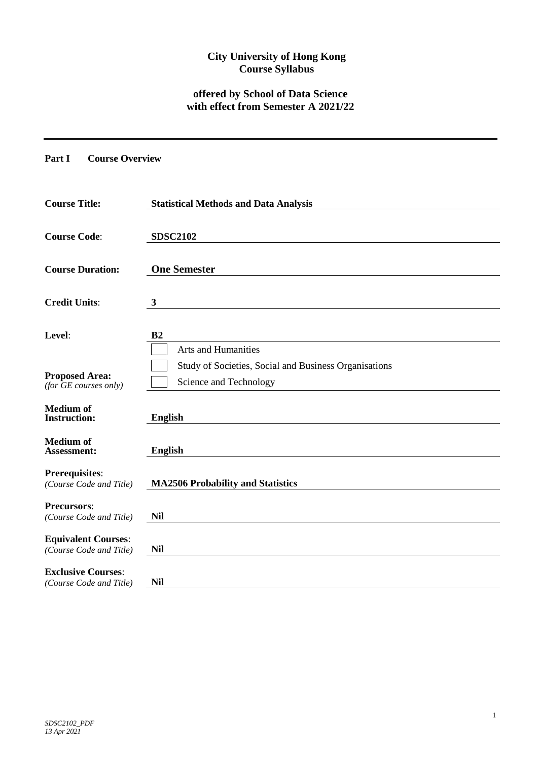# **City University of Hong Kong Course Syllabus**

# **offered by School of Data Science with effect from Semester A 2021/22**

### **Part I Course Overview**

| <b>Course Title:</b>                                  | <b>Statistical Methods and Data Analysis</b>                                    |
|-------------------------------------------------------|---------------------------------------------------------------------------------|
| <b>Course Code:</b>                                   | <b>SDSC2102</b>                                                                 |
| <b>Course Duration:</b>                               | <b>One Semester</b>                                                             |
| <b>Credit Units:</b>                                  | $\mathbf{3}$                                                                    |
| Level:                                                | B <sub>2</sub><br>Arts and Humanities                                           |
| <b>Proposed Area:</b><br>(for $GE$ courses only)      | Study of Societies, Social and Business Organisations<br>Science and Technology |
| <b>Medium of</b><br><b>Instruction:</b>               | <b>English</b>                                                                  |
| <b>Medium</b> of<br>Assessment:                       | <b>English</b>                                                                  |
| <b>Prerequisites:</b><br>(Course Code and Title)      | <b>MA2506 Probability and Statistics</b>                                        |
| <b>Precursors:</b><br>(Course Code and Title)         | <b>Nil</b>                                                                      |
| <b>Equivalent Courses:</b><br>(Course Code and Title) | <b>Nil</b>                                                                      |
| <b>Exclusive Courses:</b><br>(Course Code and Title)  | <b>Nil</b>                                                                      |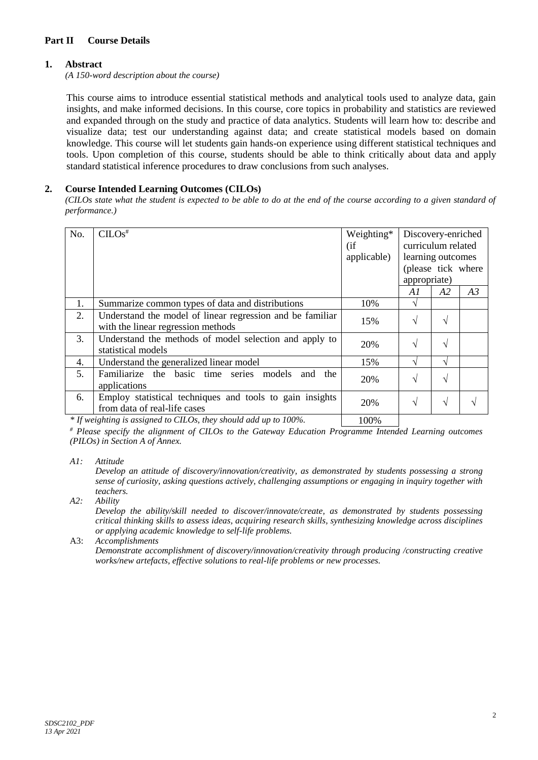## **Part II Course Details**

## **1. Abstract**

*(A 150-word description about the course)*

This course aims to introduce essential statistical methods and analytical tools used to analyze data, gain insights, and make informed decisions. In this course, core topics in probability and statistics are reviewed and expanded through on the study and practice of data analytics. Students will learn how to: describe and visualize data; test our understanding against data; and create statistical models based on domain knowledge. This course will let students gain hands-on experience using different statistical techniques and tools. Upon completion of this course, students should be able to think critically about data and apply standard statistical inference procedures to draw conclusions from such analyses.

### **2. Course Intended Learning Outcomes (CILOs)**

*(CILOs state what the student is expected to be able to do at the end of the course according to a given standard of performance.)*

| No. | $CLOS$ <sup>#</sup>                                                                             |     |            | Discovery-enriched<br>curriculum related<br>learning outcomes<br>(please tick where<br>appropriate) |    |  |
|-----|-------------------------------------------------------------------------------------------------|-----|------------|-----------------------------------------------------------------------------------------------------|----|--|
|     |                                                                                                 |     | A1         | A2                                                                                                  | A3 |  |
| 1.  | Summarize common types of data and distributions                                                | 10% | N          |                                                                                                     |    |  |
| 2.  | Understand the model of linear regression and be familiar<br>with the linear regression methods | 15% | $\sqrt{ }$ | V                                                                                                   |    |  |
| 3.  | Understand the methods of model selection and apply to<br>statistical models                    | 20% | $\sqrt{ }$ | ا^                                                                                                  |    |  |
| 4.  | Understand the generalized linear model                                                         | 15% | اد         |                                                                                                     |    |  |
| 5.  | Familiarize the basic time series models<br>the<br>and<br>applications                          | 20% | $\sqrt{ }$ |                                                                                                     |    |  |
| 6.  | Employ statistical techniques and tools to gain insights<br>from data of real-life cases        | 20% | $\sqrt{ }$ | اد                                                                                                  |    |  |

*\* If weighting is assigned to CILOs, they should add up to 100%.* 100%

*# Please specify the alignment of CILOs to the Gateway Education Programme Intended Learning outcomes (PILOs) in Section A of Annex.* 

*A1: Attitude* 

*Develop an attitude of discovery/innovation/creativity, as demonstrated by students possessing a strong sense of curiosity, asking questions actively, challenging assumptions or engaging in inquiry together with teachers.*

*A2: Ability*

*Develop the ability/skill needed to discover/innovate/create, as demonstrated by students possessing critical thinking skills to assess ideas, acquiring research skills, synthesizing knowledge across disciplines or applying academic knowledge to self-life problems.*

#### A3: *Accomplishments*

*Demonstrate accomplishment of discovery/innovation/creativity through producing /constructing creative works/new artefacts, effective solutions to real-life problems or new processes.*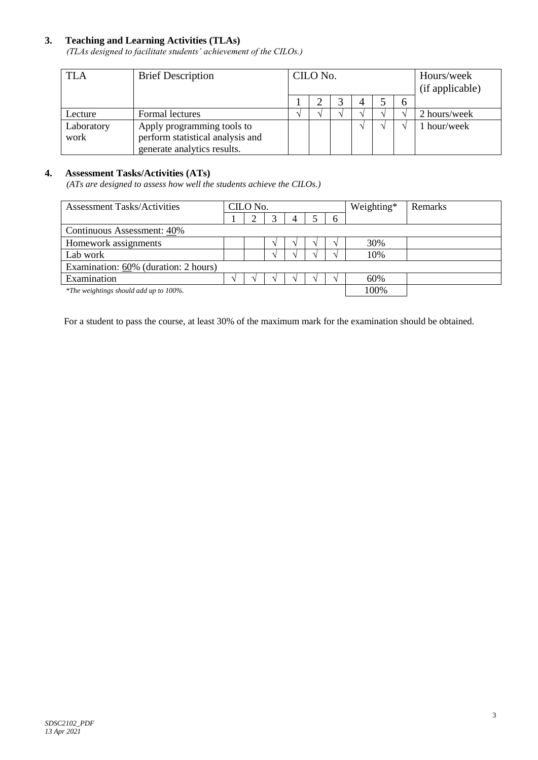# **3. Teaching and Learning Activities (TLAs)**

*(TLAs designed to facilitate students' achievement of the CILOs.)*

| TLA                | <b>Brief Description</b>                                                                      | CILO No. |  |  | Hours/week<br>(if applicable) |   |              |
|--------------------|-----------------------------------------------------------------------------------------------|----------|--|--|-------------------------------|---|--------------|
|                    |                                                                                               |          |  |  |                               | h |              |
| Lecture            | Formal lectures                                                                               |          |  |  |                               |   | 2 hours/week |
| Laboratory<br>work | Apply programming tools to<br>perform statistical analysis and<br>generate analytics results. |          |  |  |                               |   | 1 hour/week  |

### **4. Assessment Tasks/Activities (ATs)**

*(ATs are designed to assess how well the students achieve the CILOs.)*

| <b>Assessment Tasks/Activities</b>     | CILO No. |  |               |  |  |               | Weighting* | Remarks |
|----------------------------------------|----------|--|---------------|--|--|---------------|------------|---------|
|                                        |          |  |               |  |  | $\mathfrak b$ |            |         |
| Continuous Assessment: 40%             |          |  |               |  |  |               |            |         |
| Homework assignments                   |          |  | $\mathcal{N}$ |  |  |               | 30%        |         |
| Lab work                               |          |  | $\Delta$      |  |  |               | 10%        |         |
| Examination: 60% (duration: 2 hours)   |          |  |               |  |  |               |            |         |
| Examination                            |          |  |               |  |  |               | 60%        |         |
| *The weightings should add up to 100%. |          |  | 100%          |  |  |               |            |         |

For a student to pass the course, at least 30% of the maximum mark for the examination should be obtained.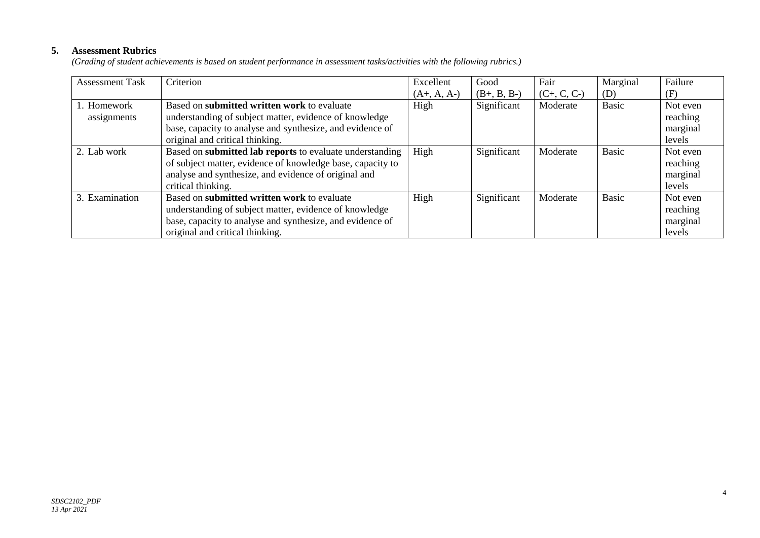# **5. Assessment Rubrics**

*(Grading of student achievements is based on student performance in assessment tasks/activities with the following rubrics.)*

| <b>Assessment Task</b> | Criterion                                                  | Excellent     | Good          | Fair          | Marginal     | Failure  |
|------------------------|------------------------------------------------------------|---------------|---------------|---------------|--------------|----------|
|                        |                                                            | $(A+, A, A-)$ | $(B+, B, B-)$ | $(C+, C, C-)$ | (D)          | (F)      |
| 1. Homework            | Based on submitted written work to evaluate                | High          | Significant   | Moderate      | <b>Basic</b> | Not even |
| assignments            | understanding of subject matter, evidence of knowledge     |               |               |               |              | reaching |
|                        | base, capacity to analyse and synthesize, and evidence of  |               |               |               |              | marginal |
|                        | original and critical thinking.                            |               |               |               |              | levels   |
| 2. Lab work            | Based on submitted lab reports to evaluate understanding   | High          | Significant   | Moderate      | <b>Basic</b> | Not even |
|                        | of subject matter, evidence of knowledge base, capacity to |               |               |               |              | reaching |
|                        | analyse and synthesize, and evidence of original and       |               |               |               |              | marginal |
|                        | critical thinking.                                         |               |               |               |              | levels   |
| 3. Examination         | Based on submitted written work to evaluate                | High          | Significant   | Moderate      | <b>Basic</b> | Not even |
|                        | understanding of subject matter, evidence of knowledge     |               |               |               |              | reaching |
|                        | base, capacity to analyse and synthesize, and evidence of  |               |               |               |              | marginal |
|                        | original and critical thinking.                            |               |               |               |              | levels   |